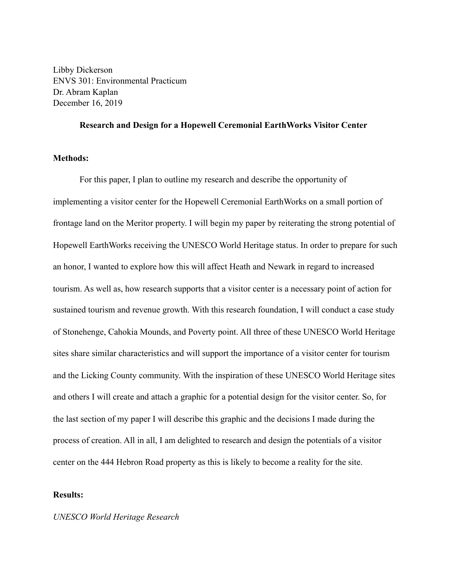Libby Dickerson ENVS 301: Environmental Practicum Dr. Abram Kaplan December 16, 2019

### **Research and Design for a Hopewell Ceremonial EarthWorks Visitor Center**

# **Methods:**

For this paper, I plan to outline my research and describe the opportunity of implementing a visitor center for the Hopewell Ceremonial EarthWorks on a small portion of frontage land on the Meritor property. I will begin my paper by reiterating the strong potential of Hopewell EarthWorks receiving the UNESCO World Heritage status. In order to prepare for such an honor, I wanted to explore how this will affect Heath and Newark in regard to increased tourism. As well as, how research supports that a visitor center is a necessary point of action for sustained tourism and revenue growth. With this research foundation, I will conduct a case study of Stonehenge, Cahokia Mounds, and Poverty point. All three of these UNESCO World Heritage sites share similar characteristics and will support the importance of a visitor center for tourism and the Licking County community. With the inspiration of these UNESCO World Heritage sites and others I will create and attach a graphic for a potential design for the visitor center. So, for the last section of my paper I will describe this graphic and the decisions I made during the process of creation. All in all, I am delighted to research and design the potentials of a visitor center on the 444 Hebron Road property as this is likely to become a reality for the site.

# **Results:**

#### *UNESCO World Heritage Research*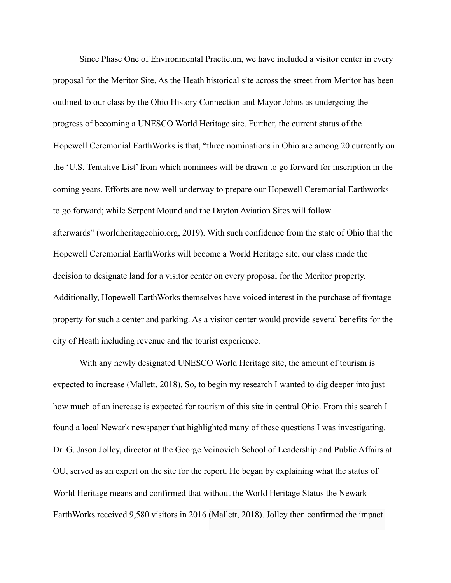Since Phase One of Environmental Practicum, we have included a visitor center in every proposal for the Meritor Site. As the Heath historical site across the street from Meritor has been outlined to our class by the Ohio History Connection and Mayor Johns as undergoing the progress of becoming a UNESCO World Heritage site. Further, the current status of the Hopewell Ceremonial EarthWorks is that, "three nominations in Ohio are among 20 currently on the 'U.S. Tentative List' from which nominees will be drawn to go forward for inscription in the coming years. Efforts are now well underway to prepare our [Hopewell Ceremonial Earthworks](http://worldheritageohio.org/hopewell-ceremonial-earthworks/)  to go forward; while [Serpent Mound](http://worldheritageohio.org/serpent-mound/) and the [Dayton Aviation Sites](http://worldheritageohio.org/dayton-aviation-sites/) will follow afterwards" (worldheritageohio.org, 2019). With such confidence from the state of Ohio that the Hopewell Ceremonial EarthWorks will become a World Heritage site, our class made the decision to designate land for a visitor center on every proposal for the Meritor property. Additionally, Hopewell EarthWorks themselves have voiced interest in the purchase of frontage property for such a center and parking. As a visitor center would provide several benefits for the city of Heath including revenue and the tourist experience.

With any newly designated UNESCO World Heritage site, the amount of tourism is expected to increase (Mallett, 2018). So, to begin my research I wanted to dig deeper into just how much of an increase is expected for tourism of this site in central Ohio. From this search I found a local Newark newspaper that highlighted many of these questions I was investigating. Dr. G. Jason Jolley, director at the George Voinovich School of Leadership and Public Affairs at OU, served as an expert on the site for the report. He began by explaining what the status of World Heritage means and confirmed that without the World Heritage Status the Newark EarthWorks received 9,580 visitors in 2016 (Mallett, 2018). Jolley then confirmed the impact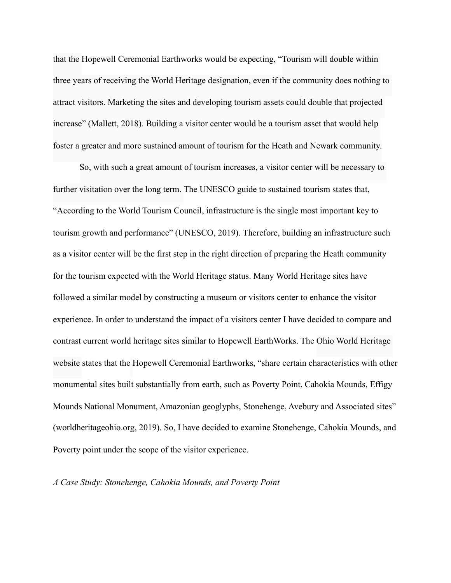that the Hopewell Ceremonial Earthworks would be expecting, "Tourism will double within three years of receiving the World Heritage designation, even if the community does nothing to attract visitors. Marketing the sites and developing tourism assets could double that projected increase" (Mallett, 2018). Building a visitor center would be a tourism asset that would help foster a greater and more sustained amount of tourism for the Heath and Newark community.

So, with such a great amount of tourism increases, a visitor center will be necessary to further visitation over the long term. The UNESCO guide to sustained tourism states that, "According to the World Tourism Council, infrastructure is the single most important key to tourism growth and performance" (UNESCO, 2019). Therefore, building an infrastructure such as a visitor center will be the first step in the right direction of preparing the Heath community for the tourism expected with the World Heritage status. Many World Heritage sites have followed a similar model by constructing a museum or visitors center to enhance the visitor experience. In order to understand the impact of a visitors center I have decided to compare and contrast current world heritage sites similar to Hopewell EarthWorks. The Ohio World Heritage website states that the Hopewell Ceremonial Earthworks, "share certain characteristics with other monumental sites built substantially from earth, such as Poverty Point, Cahokia Mounds, Effigy Mounds National Monument, Amazonian geoglyphs, Stonehenge, Avebury and Associated sites" (worldheritageohio.org, 2019). So, I have decided to examine Stonehenge, Cahokia Mounds, and Poverty point under the scope of the visitor experience.

*A Case Study: Stonehenge, Cahokia Mounds, and Poverty Point*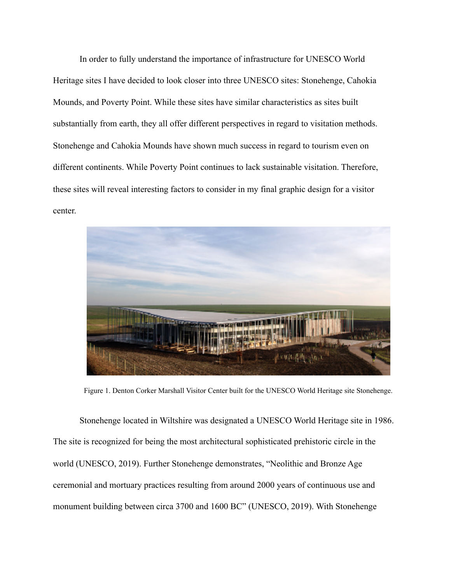In order to fully understand the importance of infrastructure for UNESCO World Heritage sites I have decided to look closer into three UNESCO sites: Stonehenge, Cahokia Mounds, and Poverty Point. While these sites have similar characteristics as sites built substantially from earth, they all offer different perspectives in regard to visitation methods. Stonehenge and Cahokia Mounds have shown much success in regard to tourism even on different continents. While Poverty Point continues to lack sustainable visitation. Therefore, these sites will reveal interesting factors to consider in my final graphic design for a visitor center.



Figure 1. Denton Corker Marshall Visitor Center built for the UNESCO World Heritage site Stonehenge.

Stonehenge located in Wiltshire was designated a UNESCO World Heritage site in 1986. The site is recognized for being the most architectural sophisticated prehistoric circle in the world (UNESCO, 2019). Further Stonehenge demonstrates, "Neolithic and Bronze Age ceremonial and mortuary practices resulting from around 2000 years of continuous use and monument building between circa 3700 and 1600 BC" (UNESCO, 2019). With Stonehenge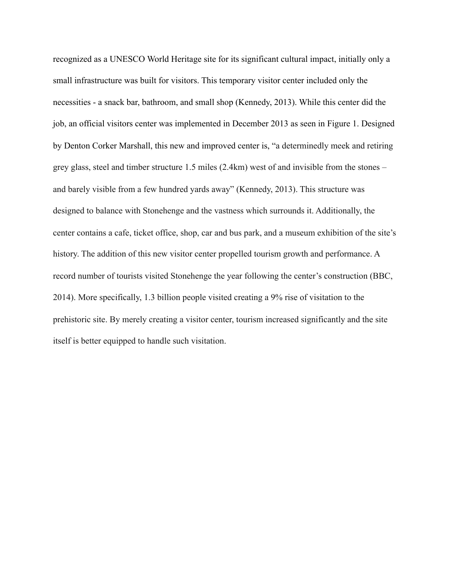recognized as a UNESCO World Heritage site for its significant cultural impact, initially only a small infrastructure was built for visitors. This temporary visitor center included only the necessities - a snack bar, bathroom, and small shop (Kennedy, 2013). While this center did the job, an official visitors center was implemented in December 2013 as seen in Figure 1. Designed by Denton Corker Marshall, this new and improved center is, "a determinedly meek and retiring grey glass, steel and timber structure 1.5 miles (2.4km) west of and invisible from the stones – and barely visible from a few hundred yards away" (Kennedy, 2013). This structure was designed to balance with Stonehenge and the vastness which surrounds it. Additionally, the center contains a cafe, ticket office, shop, car and bus park, and a museum exhibition of the site's history. The addition of this new visitor center propelled tourism growth and performance. A record number of tourists visited Stonehenge the year following the center's construction (BBC, 2014). More specifically, 1.3 billion people visited creating a 9% rise of visitation to the prehistoric site. By merely creating a visitor center, tourism increased significantly and the site itself is better equipped to handle such visitation.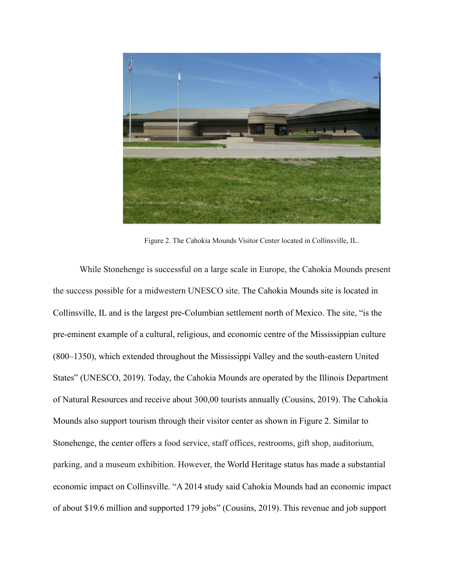

Figure 2. The Cahokia Mounds Visitor Center located in Collinsville, IL.

While Stonehenge is successful on a large scale in Europe, the Cahokia Mounds present the success possible for a midwestern UNESCO site. The Cahokia Mounds site is located in Collinsville, IL and is the largest pre-Columbian settlement north of Mexico. The site, "is the pre-eminent example of a cultural, religious, and economic centre of the Mississippian culture (800–1350), which extended throughout the Mississippi Valley and the south-eastern United States" (UNESCO, 2019). Today, the Cahokia Mounds are operated by the Illinois Department of Natural Resources and receive about 300,00 tourists annually (Cousins, 2019). The Cahokia Mounds also support tourism through their visitor center as shown in Figure 2. Similar to Stonehenge, the center offers a food service, staff offices, restrooms, gift shop, auditorium, parking, and a museum exhibition. However, the World Heritage status has made a substantial economic impact on Collinsville. "A 2014 study said Cahokia Mounds had an economic impact of about \$19.6 million and supported 179 jobs" (Cousins, 2019). This revenue and job support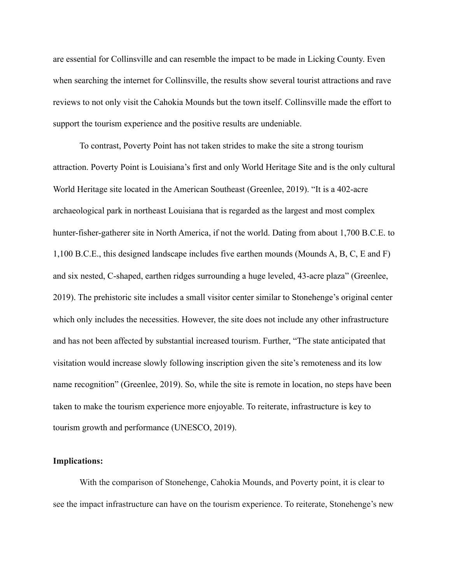are essential for Collinsville and can resemble the impact to be made in Licking County. Even when searching the internet for Collinsville, the results show several tourist attractions and rave reviews to not only visit the Cahokia Mounds but the town itself. Collinsville made the effort to support the tourism experience and the positive results are undeniable.

To contrast, Poverty Point has not taken strides to make the site a strong tourism attraction. Poverty Point is Louisiana's first and only World Heritage Site and is the only cultural World Heritage site located in the American Southeast (Greenlee, 2019). "It is a 402-acre archaeological park in northeast Louisiana that is regarded as the largest and most complex hunter-fisher-gatherer site in North America, if not the world. Dating from about 1,700 B.C.E. to 1,100 B.C.E., this designed landscape includes five earthen mounds (Mounds A, B, C, E and F) and six nested, C-shaped, earthen ridges surrounding a huge leveled, 43-acre plaza" (Greenlee, 2019). The prehistoric site includes a small visitor center similar to Stonehenge's original center which only includes the necessities. However, the site does not include any other infrastructure and has not been affected by substantial increased tourism. Further, "The state anticipated that visitation would increase slowly following inscription given the site's remoteness and its low name recognition" (Greenlee, 2019). So, while the site is remote in location, no steps have been taken to make the tourism experience more enjoyable. To reiterate, infrastructure is key to tourism growth and performance (UNESCO, 2019).

### **Implications:**

With the comparison of Stonehenge, Cahokia Mounds, and Poverty point, it is clear to see the impact infrastructure can have on the tourism experience. To reiterate, Stonehenge's new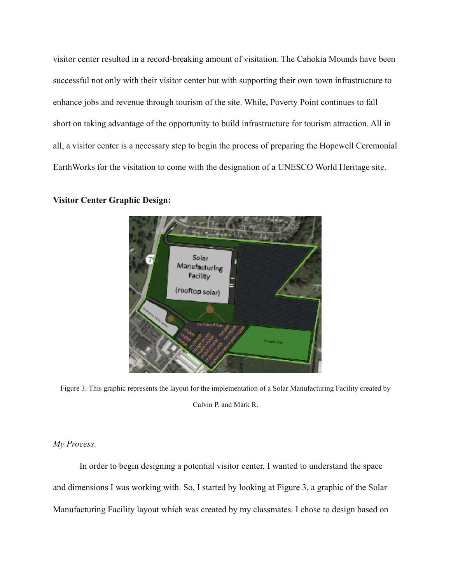visitor center resulted in a record-breaking amount of visitation. The Cahokia Mounds have been successful not only with their visitor center but with supporting their own town infrastructure to enhance jobs and revenue through tourism of the site. While, Poverty Point continues to fall short on taking advantage of the opportunity to build infrastructure for tourism attraction. All in all, a visitor center is a necessary step to begin the process of preparing the Hopewell Ceremonial EarthWorks for the visitation to come with the designation of a UNESCO World Heritage site.



#### **Visitor Center Graphic Design:**

Figure 3. This graphic represents the layout for the implementation of a Solar Manufacturing Facility created by Calvin P. and Mark R.

*My Process:*

 In order to begin designing a potential visitor center, I wanted to understand the space and dimensions I was working with. So, I started by looking at Figure 3, a graphic of the Solar Manufacturing Facility layout which was created by my classmates. I chose to design based on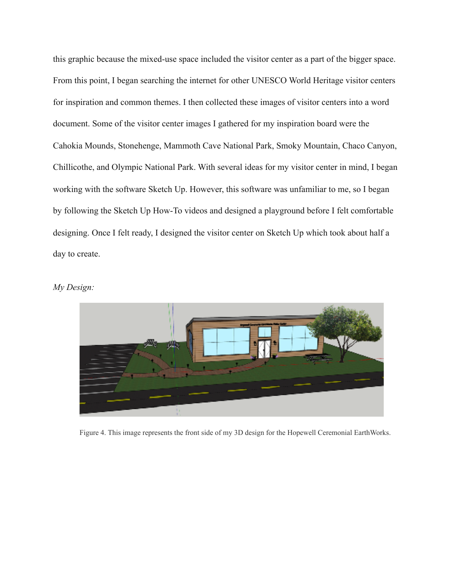this graphic because the mixed-use space included the visitor center as a part of the bigger space. From this point, I began searching the internet for other UNESCO World Heritage visitor centers for inspiration and common themes. I then collected these images of visitor centers into a word document. Some of the visitor center images I gathered for my inspiration board were the Cahokia Mounds, Stonehenge, Mammoth Cave National Park, Smoky Mountain, Chaco Canyon, Chillicothe, and Olympic National Park. With several ideas for my visitor center in mind, I began working with the software Sketch Up. However, this software was unfamiliar to me, so I began by following the Sketch Up How-To videos and designed a playground before I felt comfortable designing. Once I felt ready, I designed the visitor center on Sketch Up which took about half a day to create.

## *My Design:*



Figure 4. This image represents the front side of my 3D design for the Hopewell Ceremonial EarthWorks.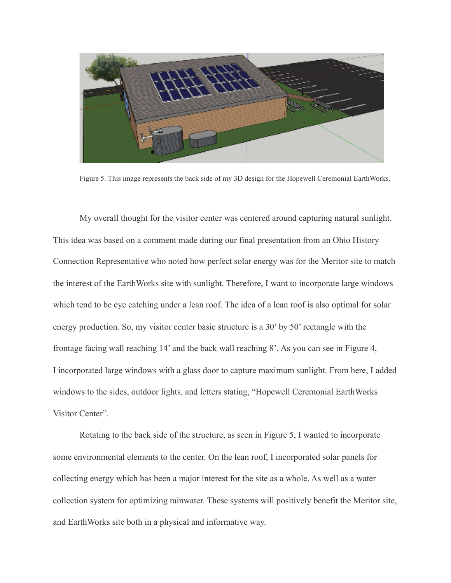

Figure 5. This image represents the back side of my 3D design for the Hopewell Ceremonial EarthWorks.

 My overall thought for the visitor center was centered around capturing natural sunlight. This idea was based on a comment made during our final presentation from an Ohio History Connection Representative who noted how perfect solar energy was for the Meritor site to match the interest of the EarthWorks site with sunlight. Therefore, I want to incorporate large windows which tend to be eye catching under a lean roof. The idea of a lean roof is also optimal for solar energy production. So, my visitor center basic structure is a 30' by 50' rectangle with the frontage facing wall reaching 14' and the back wall reaching 8'. As you can see in Figure 4, I incorporated large windows with a glass door to capture maximum sunlight. From here, I added windows to the sides, outdoor lights, and letters stating, "Hopewell Ceremonial EarthWorks Visitor Center".

 Rotating to the back side of the structure, as seen in Figure 5, I wanted to incorporate some environmental elements to the center. On the lean roof, I incorporated solar panels for collecting energy which has been a major interest for the site as a whole. As well as a water collection system for optimizing rainwater. These systems will positively benefit the Meritor site, and EarthWorks site both in a physical and informative way.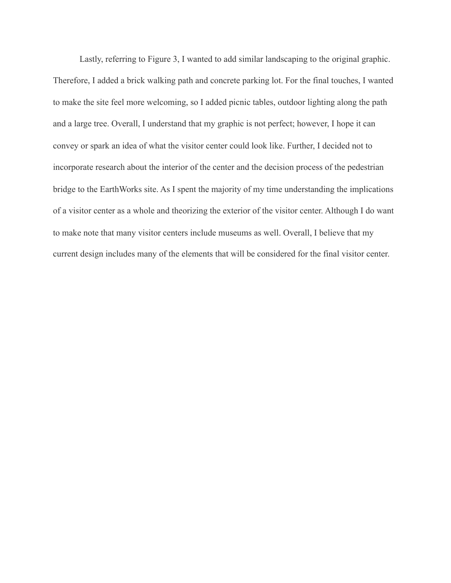Lastly, referring to Figure 3, I wanted to add similar landscaping to the original graphic. Therefore, I added a brick walking path and concrete parking lot. For the final touches, I wanted to make the site feel more welcoming, so I added picnic tables, outdoor lighting along the path and a large tree. Overall, I understand that my graphic is not perfect; however, I hope it can convey or spark an idea of what the visitor center could look like. Further, I decided not to incorporate research about the interior of the center and the decision process of the pedestrian bridge to the EarthWorks site. As I spent the majority of my time understanding the implications of a visitor center as a whole and theorizing the exterior of the visitor center. Although I do want to make note that many visitor centers include museums as well. Overall, I believe that my current design includes many of the elements that will be considered for the final visitor center.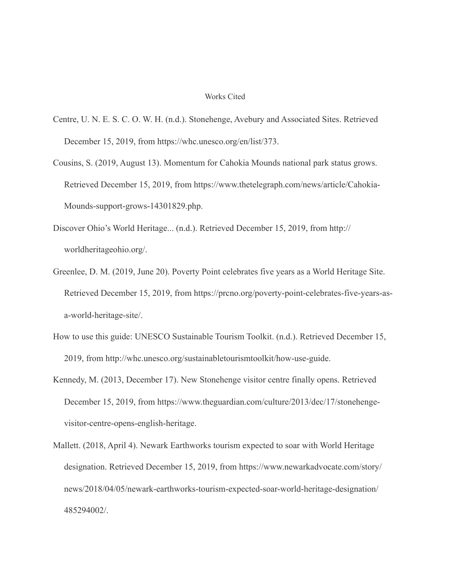#### Works Cited

- Centre, U. N. E. S. C. O. W. H. (n.d.). Stonehenge, Avebury and Associated Sites. Retrieved December 15, 2019, from https://whc.unesco.org/en/list/373.
- Cousins, S. (2019, August 13). Momentum for Cahokia Mounds national park status grows. Retrieved December 15, 2019, from https://www.thetelegraph.com/news/article/Cahokia-Mounds-support-grows-14301829.php.
- Discover Ohio's World Heritage... (n.d.). Retrieved December 15, 2019, from http:// worldheritageohio.org/.
- Greenlee, D. M. (2019, June 20). Poverty Point celebrates five years as a World Heritage Site. Retrieved December 15, 2019, from https://prcno.org/poverty-point-celebrates-five-years-asa-world-heritage-site/.
- How to use this guide: UNESCO Sustainable Tourism Toolkit. (n.d.). Retrieved December 15, 2019, from http://whc.unesco.org/sustainabletourismtoolkit/how-use-guide.
- Kennedy, M. (2013, December 17). New Stonehenge visitor centre finally opens. Retrieved December 15, 2019, from https://www.theguardian.com/culture/2013/dec/17/stonehengevisitor-centre-opens-english-heritage.
- Mallett. (2018, April 4). Newark Earthworks tourism expected to soar with World Heritage designation. Retrieved December 15, 2019, from https://www.newarkadvocate.com/story/ news/2018/04/05/newark-earthworks-tourism-expected-soar-world-heritage-designation/ 485294002/.